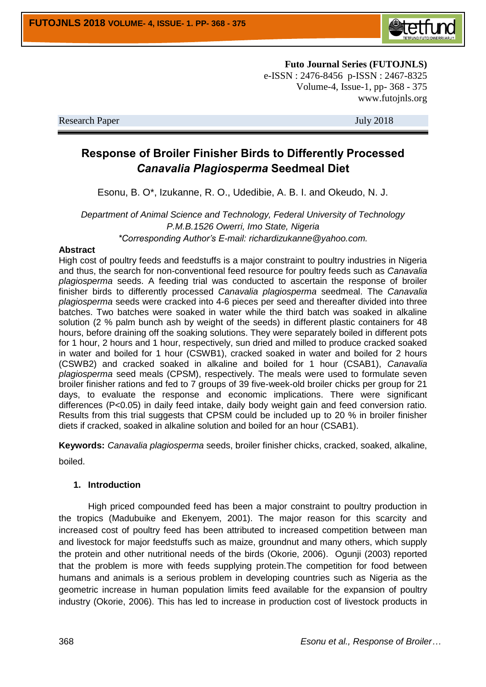

**Futo Journal Series (FUTOJNLS)** e-ISSN : 2476-8456 p-ISSN : 2467-8325 Volume-4, Issue-1, pp- 368 - 375 www.futojnls.org

Research Paper July 2018

# **Response of Broiler Finisher Birds to Differently Processed**  *Canavalia Plagiosperma* **Seedmeal Diet**

Esonu, B. O\*, Izukanne, R. O., Udedibie, A. B. I. and Okeudo, N. J.

*Department of Animal Science and Technology, Federal University of Technology P.M.B.1526 Owerri, Imo State, Nigeria \*Corresponding Author's E-mail: richardizukanne@yahoo.com.*

## **Abstract**

High cost of poultry feeds and feedstuffs is a major constraint to poultry industries in Nigeria and thus, the search for non-conventional feed resource for poultry feeds such as *Canavalia plagiosperma* seeds. A feeding trial was conducted to ascertain the response of broiler finisher birds to differently processed *Canavalia plagiosperma* seedmeal. The *Canavalia plagiosperma* seeds were cracked into 4-6 pieces per seed and thereafter divided into three batches. Two batches were soaked in water while the third batch was soaked in alkaline solution (2 % palm bunch ash by weight of the seeds) in different plastic containers for 48 hours, before draining off the soaking solutions. They were separately boiled in different pots for 1 hour, 2 hours and 1 hour, respectively, sun dried and milled to produce cracked soaked in water and boiled for 1 hour (CSWB1), cracked soaked in water and boiled for 2 hours (CSWB2) and cracked soaked in alkaline and boiled for 1 hour (CSAB1), *Canavalia plagiosperma* seed meals (CPSM), respectively. The meals were used to formulate seven broiler finisher rations and fed to 7 groups of 39 five-week-old broiler chicks per group for 21 days, to evaluate the response and economic implications. There were significant differences (P<0.05) in daily feed intake, daily body weight gain and feed conversion ratio. Results from this trial suggests that CPSM could be included up to 20 % in broiler finisher diets if cracked, soaked in alkaline solution and boiled for an hour (CSAB1).

**Keywords:** *Canavalia plagiosperma* seeds, broiler finisher chicks, cracked, soaked, alkaline, boiled.

# **1. Introduction**

High priced compounded feed has been a major constraint to poultry production in the tropics (Madubuike and Ekenyem, 2001). The major reason for this scarcity and increased cost of poultry feed has been attributed to increased competition between man and livestock for major feedstuffs such as maize, groundnut and many others, which supply the protein and other nutritional needs of the birds (Okorie, 2006). Ogunji (2003) reported that the problem is more with feeds supplying protein.The competition for food between humans and animals is a serious problem in developing countries such as Nigeria as the geometric increase in human population limits feed available for the expansion of poultry industry (Okorie, 2006). This has led to increase in production cost of livestock products in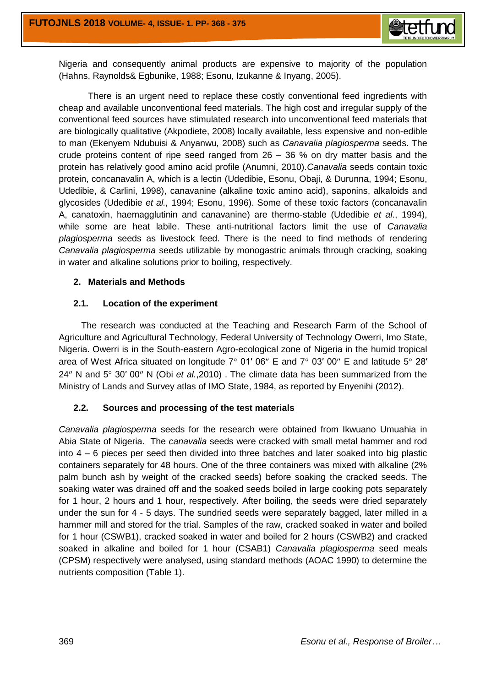

Nigeria and consequently animal products are expensive to majority of the population (Hahns, Raynolds& Egbunike, 1988; Esonu, Izukanne & Inyang, 2005).

There is an urgent need to replace these costly conventional feed ingredients with cheap and available unconventional feed materials. The high cost and irregular supply of the conventional feed sources have stimulated research into unconventional feed materials that are biologically qualitative (Akpodiete, 2008) locally available, less expensive and non-edible to man (Ekenyem Ndubuisi & Anyanwu*,* 2008) such as *Canavalia plagiosperma* seeds. The crude proteins content of ripe seed ranged from  $26 - 36$  % on dry matter basis and the protein has relatively good amino acid profile (Anumni, 2010).*Canavalia* seeds contain toxic protein, concanavalin A, which is a lectin (Udedibie, Esonu, Obaji, & Durunna, 1994; Esonu, Udedibie, & Carlini, 1998), canavanine (alkaline toxic amino acid), saponins, alkaloids and glycosides (Udedibie *et al.,* 1994; Esonu, 1996). Some of these toxic factors (concanavalin A, canatoxin, haemagglutinin and canavanine) are thermo-stable (Udedibie *et al*., 1994), while some are heat labile. These anti-nutritional factors limit the use of *Canavalia plagiosperma* seeds as livestock feed. There is the need to find methods of rendering *Canavalia plagiosperma* seeds utilizable by monogastric animals through cracking, soaking in water and alkaline solutions prior to boiling, respectively.

# **2. Materials and Methods**

# **2.1. Location of the experiment**

 The research was conducted at the Teaching and Research Farm of the School of Agriculture and Agricultural Technology, Federal University of Technology Owerri, Imo State, Nigeria. Owerri is in the South-eastern Agro-ecological zone of Nigeria in the humid tropical area of West Africa situated on longitude  $7^{\circ}$  01' 06" E and  $7^{\circ}$  03' 00" E and latitude  $5^{\circ}$  28' 24" N and 5° 30' 00" N (Obi *et al.*,2010). The climate data has been summarized from the Ministry of Lands and Survey atlas of IMO State, 1984, as reported by Enyenihi (2012).

# **2.2. Sources and processing of the test materials**

*Canavalia plagiosperma* seeds for the research were obtained from Ikwuano Umuahia in Abia State of Nigeria. The *canavalia* seeds were cracked with small metal hammer and rod into 4 – 6 pieces per seed then divided into three batches and later soaked into big plastic containers separately for 48 hours. One of the three containers was mixed with alkaline (2% palm bunch ash by weight of the cracked seeds) before soaking the cracked seeds. The soaking water was drained off and the soaked seeds boiled in large cooking pots separately for 1 hour, 2 hours and 1 hour, respectively. After boiling, the seeds were dried separately under the sun for 4 - 5 days. The sundried seeds were separately bagged, later milled in a hammer mill and stored for the trial. Samples of the raw, cracked soaked in water and boiled for 1 hour (CSWB1), cracked soaked in water and boiled for 2 hours (CSWB2) and cracked soaked in alkaline and boiled for 1 hour (CSAB1) *Canavalia plagiosperma* seed meals (CPSM) respectively were analysed, using standard methods (AOAC 1990) to determine the nutrients composition (Table 1).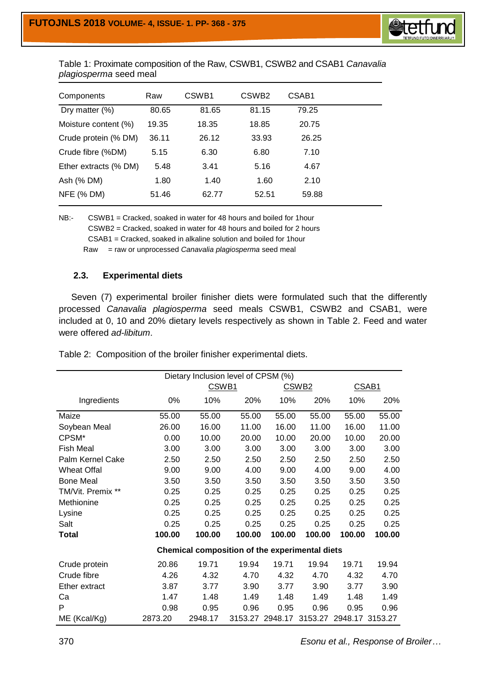

Table 1: Proximate composition of the Raw, CSWB1, CSWB2 and CSAB1 *Canavalia plagiosperma* seed meal

| CSWB <sub>2</sub><br>CSWB <sub>1</sub><br>Components<br>Raw | CSAB1 |
|-------------------------------------------------------------|-------|
| 81.15<br>Dry matter $(\%)$<br>80.65<br>81.65                | 79.25 |
| 19.35<br>18.35<br>18.85<br>Moisture content (%)             | 20.75 |
| 33.93<br>Crude protein (% DM)<br>36.11<br>26.12             | 26.25 |
| Crude fibre (%DM)<br>6.30<br>6.80<br>5.15                   | 7.10  |
| 5.48<br>Ether extracts (% DM)<br>5.16<br>3.41               | 4.67  |
| Ash (% DM)<br>1.80<br>1.40<br>1.60                          | 2.10  |
| <b>NFE (% DM)</b><br>51.46<br>62.77<br>52.51                | 59.88 |

NB:- CSWB1 = Cracked, soaked in water for 48 hours and boiled for 1hour CSWB2 = Cracked, soaked in water for 48 hours and boiled for 2 hours CSAB1 = Cracked, soaked in alkaline solution and boiled for 1hour Raw = raw or unprocessed *Canavalia plagiosperma* seed meal

## **2.3. Experimental diets**

 Seven (7) experimental broiler finisher diets were formulated such that the differently processed *Canavalia plagiosperma* seed meals CSWB1, CSWB2 and CSAB1, were included at 0, 10 and 20% dietary levels respectively as shown in Table 2. Feed and water were offered *ad-libitum*.

| Dietary Inclusion level of CPSM (%) |         |                                                |         |         |                   |                 |        |  |  |
|-------------------------------------|---------|------------------------------------------------|---------|---------|-------------------|-----------------|--------|--|--|
|                                     |         | CSWB <sub>1</sub>                              |         |         | CSWB <sub>2</sub> | CSAB1           |        |  |  |
| Ingredients                         | 0%      | 10%                                            | 20%     | 10%     | 20%               | 10%             | 20%    |  |  |
| Maize                               | 55.00   | 55.00                                          | 55.00   | 55.00   | 55.00             | 55.00           | 55.00  |  |  |
| Soybean Meal                        | 26.00   | 16.00                                          | 11.00   | 16.00   | 11.00             | 16.00           | 11.00  |  |  |
| CPSM <sup>*</sup>                   | 0.00    | 10.00                                          | 20.00   | 10.00   | 20.00             | 10.00           | 20.00  |  |  |
| <b>Fish Meal</b>                    | 3.00    | 3.00                                           | 3.00    | 3.00    | 3.00              | 3.00            | 3.00   |  |  |
| Palm Kernel Cake                    | 2.50    | 2.50                                           | 2.50    | 2.50    | 2.50              | 2.50            | 2.50   |  |  |
| <b>Wheat Offal</b>                  | 9.00    | 9.00                                           | 4.00    | 9.00    | 4.00              | 9.00            | 4.00   |  |  |
| <b>Bone Meal</b>                    | 3.50    | 3.50                                           | 3.50    | 3.50    | 3.50              | 3.50            | 3.50   |  |  |
| TM/Vit. Premix **                   | 0.25    | 0.25                                           | 0.25    | 0.25    | 0.25              | 0.25            | 0.25   |  |  |
| Methionine                          | 0.25    | 0.25                                           | 0.25    | 0.25    | 0.25              | 0.25            | 0.25   |  |  |
| Lysine                              | 0.25    | 0.25                                           | 0.25    | 0.25    | 0.25              | 0.25            | 0.25   |  |  |
| Salt                                | 0.25    | 0.25                                           | 0.25    | 0.25    | 0.25              | 0.25            | 0.25   |  |  |
| <b>Total</b>                        | 100.00  | 100.00                                         | 100.00  | 100.00  | 100.00            | 100.00          | 100.00 |  |  |
|                                     |         | Chemical composition of the experimental diets |         |         |                   |                 |        |  |  |
| Crude protein                       | 20.86   | 19.71                                          | 19.94   | 19.71   | 19.94             | 19.71           | 19.94  |  |  |
| Crude fibre                         | 4.26    | 4.32                                           | 4.70    | 4.32    | 4.70              | 4.32            | 4.70   |  |  |
| Ether extract                       | 3.87    | 3.77                                           | 3.90    | 3.77    | 3.90              | 3.77            | 3.90   |  |  |
| Ca                                  | 1.47    | 1.48                                           | 1.49    | 1.48    | 1.49              | 1.48            | 1.49   |  |  |
| P                                   | 0.98    | 0.95                                           | 0.96    | 0.95    | 0.96              | 0.95            | 0.96   |  |  |
| ME (Kcal/Kg)                        | 2873.20 | 2948.17                                        | 3153.27 | 2948.17 | 3153.27           | 2948.17 3153.27 |        |  |  |

Table 2: Composition of the broiler finisher experimental diets.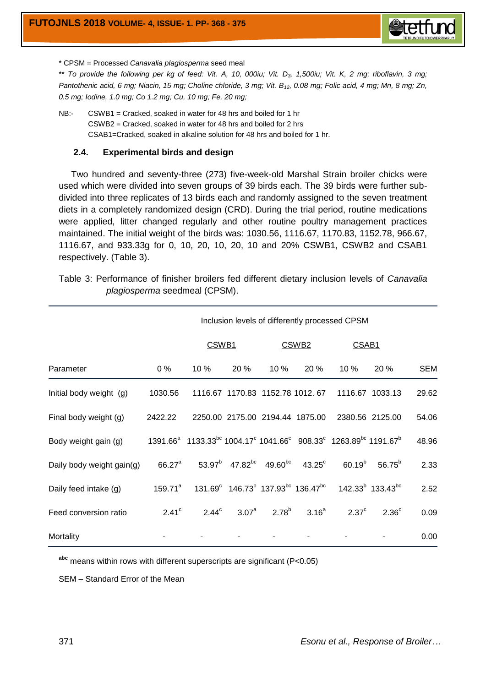

\* CPSM = Processed *Canavalia plagiosperma* seed meal

\*\* To provide the following per kg of feed: Vit. A, 10, 000iu; Vit. D<sub>3</sub>, 1,500iu; Vit. K, 2 mg; riboflavin, 3 mg; *Pantothenic acid, 6 mg; Niacin, 15 mg; Choline chloride, 3 mg; Vit. B12, 0.08 mg; Folic acid, 4 mg; Mn, 8 mg; Zn, 0.5 mg; Iodine, 1.0 mg; Co 1.2 mg; Cu, 10 mg; Fe, 20 mg;* 

NB:- CSWB1 = Cracked, soaked in water for 48 hrs and boiled for 1 hr CSWB2 = Cracked, soaked in water for 48 hrs and boiled for 2 hrs CSAB1=Cracked, soaked in alkaline solution for 48 hrs and boiled for 1 hr.

#### **2.4. Experimental birds and design**

 Two hundred and seventy-three (273) five-week-old Marshal Strain broiler chicks were used which were divided into seven groups of 39 birds each. The 39 birds were further subdivided into three replicates of 13 birds each and randomly assigned to the seven treatment diets in a completely randomized design (CRD). During the trial period, routine medications were applied, litter changed regularly and other routine poultry management practices maintained. The initial weight of the birds was: 1030.56, 1116.67, 1170.83, 1152.78, 966.67, 1116.67, and 933.33g for 0, 10, 20, 10, 20, 10 and 20% CSWB1, CSWB2 and CSAB1 respectively. (Table 3).

| Table 3: Performance of finisher broilers fed different dietary inclusion levels of Canavalia |  |  |  |  |  |
|-----------------------------------------------------------------------------------------------|--|--|--|--|--|
| <i>plagiosperma</i> seedmeal (CPSM).                                                          |  |  |  |  |  |

|                           |                   |                                                                                                                                                     | Inclusion levels of differently processed CPSM |                                 |                                                                          |                    |                                   |            |  |
|---------------------------|-------------------|-----------------------------------------------------------------------------------------------------------------------------------------------------|------------------------------------------------|---------------------------------|--------------------------------------------------------------------------|--------------------|-----------------------------------|------------|--|
|                           |                   |                                                                                                                                                     | CSWB <sub>1</sub>                              |                                 | CSWB <sub>2</sub>                                                        |                    | CSAB <sub>1</sub>                 |            |  |
| Parameter                 | $0\%$             | 10%                                                                                                                                                 | 20 %                                           | 10 %                            | 20 %                                                                     | 10 %               | 20 %                              | <b>SEM</b> |  |
| Initial body weight (g)   | 1030.56           |                                                                                                                                                     |                                                |                                 | 1116.67 1170.83 1152.78 1012.67                                          |                    | 1116.67 1033.13                   | 29.62      |  |
| Final body weight (g)     | 2422.22           |                                                                                                                                                     |                                                | 2250.00 2175.00 2194.44 1875.00 |                                                                          |                    | 2380.56 2125.00                   | 54.06      |  |
| Body weight gain (g)      |                   | 1391.66 <sup>a</sup> 1133.33 <sup>bc</sup> 1004.17 <sup>c</sup> 1041.66 <sup>c</sup> 908.33 <sup>c</sup> 1263.89 <sup>bc</sup> 1191.67 <sup>b</sup> |                                                |                                 |                                                                          |                    |                                   | 48.96      |  |
| Daily body weight gain(g) | $66.27^{\circ}$   |                                                                                                                                                     |                                                |                                 | $53.97^b$ 47.82 <sup>bc</sup> 49.60 <sup>bc</sup> 43.25 <sup>c</sup>     | 60.19 <sup>b</sup> | $56.75^{b}$                       | 2.33       |  |
| Daily feed intake (g)     | $159.71^a$        |                                                                                                                                                     |                                                |                                 | $131.69^c$ 146.73 <sup>b</sup> 137.93 <sup>bc</sup> 136.47 <sup>bc</sup> |                    | $142.33^{b}$ 133.43 <sup>bc</sup> | 2.52       |  |
| Feed conversion ratio     | 2.41 <sup>c</sup> | $2.44^{\circ}$                                                                                                                                      | $3.07^{\mathrm{a}}$                            | $2.78^{b}$                      | 3.16 <sup>a</sup>                                                        | $2.37^{\circ}$     | 2.36 <sup>c</sup>                 | 0.09       |  |
| Mortality                 |                   |                                                                                                                                                     |                                                |                                 |                                                                          |                    |                                   | 0.00       |  |

**abc** means within rows with different superscripts are significant (P<0.05)

SEM – Standard Error of the Mean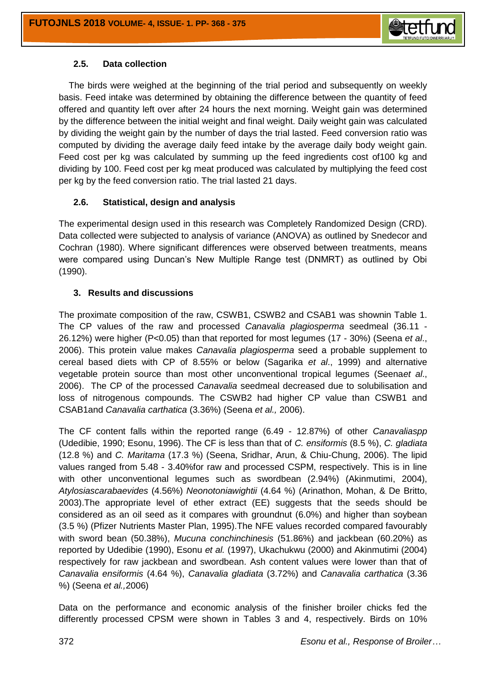

# **2.5. Data collection**

 The birds were weighed at the beginning of the trial period and subsequently on weekly basis. Feed intake was determined by obtaining the difference between the quantity of feed offered and quantity left over after 24 hours the next morning. Weight gain was determined by the difference between the initial weight and final weight. Daily weight gain was calculated by dividing the weight gain by the number of days the trial lasted. Feed conversion ratio was computed by dividing the average daily feed intake by the average daily body weight gain. Feed cost per kg was calculated by summing up the feed ingredients cost of100 kg and dividing by 100. Feed cost per kg meat produced was calculated by multiplying the feed cost per kg by the feed conversion ratio. The trial lasted 21 days.

# **2.6. Statistical, design and analysis**

The experimental design used in this research was Completely Randomized Design (CRD). Data collected were subjected to analysis of variance (ANOVA) as outlined by Snedecor and Cochran (1980). Where significant differences were observed between treatments, means were compared using Duncan's New Multiple Range test (DNMRT) as outlined by Obi (1990).

# **3. Results and discussions**

The proximate composition of the raw, CSWB1, CSWB2 and CSAB1 was shownin Table 1. The CP values of the raw and processed *Canavalia plagiosperma* seedmeal (36.11 - 26.12%) were higher (P<0.05) than that reported for most legumes (17 - 30%) (Seena *et al*., 2006). This protein value makes *Canavalia plagiosperma* seed a probable supplement to cereal based diets with CP of 8.55% or below (Sagarika *et al*., 1999) and alternative vegetable protein source than most other unconventional tropical legumes (Seena*et al*., 2006). The CP of the processed *Canavalia* seedmeal decreased due to solubilisation and loss of nitrogenous compounds. The CSWB2 had higher CP value than CSWB1 and CSAB1and *Canavalia carthatica* (3.36%) (Seena *et al.,* 2006).

The CF content falls within the reported range (6.49 - 12.87%) of other *Canavaliaspp* (Udedibie, 1990; Esonu, 1996). The CF is less than that of *C. ensiformis* (8.5 %), *C. gladiata* (12.8 %) and *C. Maritama* (17.3 %) (Seena, Sridhar, Arun, & Chiu-Chung, 2006). The lipid values ranged from 5.48 - 3.40%for raw and processed CSPM, respectively. This is in line with other unconventional legumes such as swordbean (2.94%) (Akinmutimi, 2004), *Atylosiascarabaevides* (4.56%) *Neonotoniawightii* (4.64 %) (Arinathon, Mohan, & De Britto, 2003).The appropriate level of ether extract (EE) suggests that the seeds should be considered as an oil seed as it compares with groundnut (6.0%) and higher than soybean (3.5 %) (Pfizer Nutrients Master Plan, 1995).The NFE values recorded compared favourably with sword bean (50.38%), *Mucuna conchinchinesis* (51.86%) and jackbean (60.20%) as reported by Udedibie (1990), Esonu *et al.* (1997), Ukachukwu (2000) and Akinmutimi (2004) respectively for raw jackbean and swordbean. Ash content values were lower than that of *Canavalia ensiformis* (4.64 %), *Canavalia gladiata* (3.72%) and *Canavalia carthatica* (3.36 %) (Seena *et al.,*2006)

Data on the performance and economic analysis of the finisher broiler chicks fed the differently processed CPSM were shown in Tables 3 and 4, respectively. Birds on 10%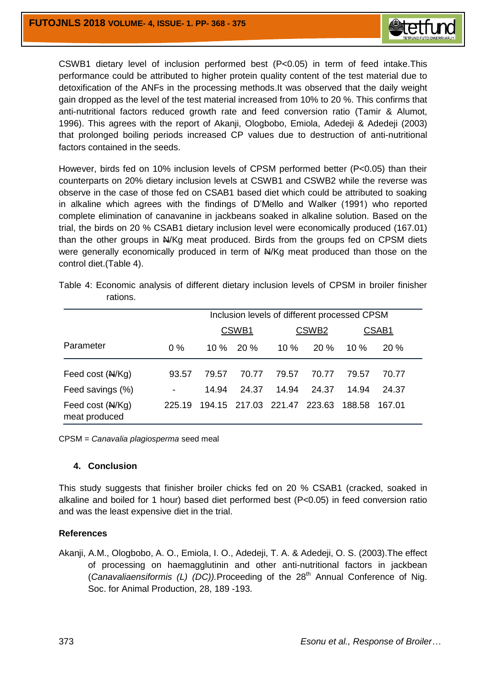

CSWB1 dietary level of inclusion performed best (P<0.05) in term of feed intake.This performance could be attributed to higher protein quality content of the test material due to detoxification of the ANFs in the processing methods.It was observed that the daily weight gain dropped as the level of the test material increased from 10% to 20 %. This confirms that anti-nutritional factors reduced growth rate and feed conversion ratio (Tamir & Alumot, 1996). This agrees with the report of Akanji, Ologbobo, Emiola, Adedeji & Adedeji (2003) that prolonged boiling periods increased CP values due to destruction of anti-nutritional factors contained in the seeds.

However, birds fed on 10% inclusion levels of CPSM performed better (P<0.05) than their counterparts on 20% dietary inclusion levels at CSWB1 and CSWB2 while the reverse was observe in the case of those fed on CSAB1 based diet which could be attributed to soaking in alkaline which agrees with the findings of D'Mello and Walker (1991) who reported complete elimination of canavanine in jackbeans soaked in alkaline solution. Based on the trial, the birds on 20 % CSAB1 dietary inclusion level were economically produced (167.01) than the other groups in  $A/Kg$  meat produced. Birds from the groups fed on CPSM diets were generally economically produced in term of  $A/Kg$  meat produced than those on the control diet.(Table 4).

|                                   |                          | Inclusion levels of different processed CPSM |       |                             |                   |         |        |  |  |  |
|-----------------------------------|--------------------------|----------------------------------------------|-------|-----------------------------|-------------------|---------|--------|--|--|--|
|                                   |                          |                                              | CSWB1 |                             | CSWB <sub>2</sub> | CSAB1   |        |  |  |  |
| Parameter                         | $0\%$                    | 10 %                                         | 20%   | 10%                         | 20%               | $10 \%$ | 20%    |  |  |  |
| Feed cost (N/Kg)                  | 93.57                    | 79.57                                        | 70.77 | 79.57                       | 70.77             | 79.57   | 70.77  |  |  |  |
| Feed savings (%)                  | $\overline{\phantom{a}}$ | 14.94                                        | 24.37 | 14.94                       | 24.37             | 14.94   | 24.37  |  |  |  |
| Feed cost (N/Kg)<br>meat produced | 225.19                   |                                              |       | 194.15 217.03 221.47 223.63 |                   | 188.58  | 167.01 |  |  |  |

| Table 4: Economic analysis of different dietary inclusion levels of CPSM in broiler finisher |  |  |  |  |
|----------------------------------------------------------------------------------------------|--|--|--|--|
| rations.                                                                                     |  |  |  |  |

CPSM = *Canavalia plagiosperma* seed meal

#### **4. Conclusion**

This study suggests that finisher broiler chicks fed on 20 % CSAB1 (cracked, soaked in alkaline and boiled for 1 hour) based diet performed best (P<0.05) in feed conversion ratio and was the least expensive diet in the trial.

# **References**

Akanji, A.M., Ologbobo, A. O., Emiola, I. O., Adedeji, T. A. & Adedeji, O. S. (2003).The effect of processing on haemagglutinin and other anti-nutritional factors in jackbean (*Canavaliaensiformis (L) (DC)*).Proceeding of the 28<sup>th</sup> Annual Conference of Nig. Soc. for Animal Production, 28, 189 -193.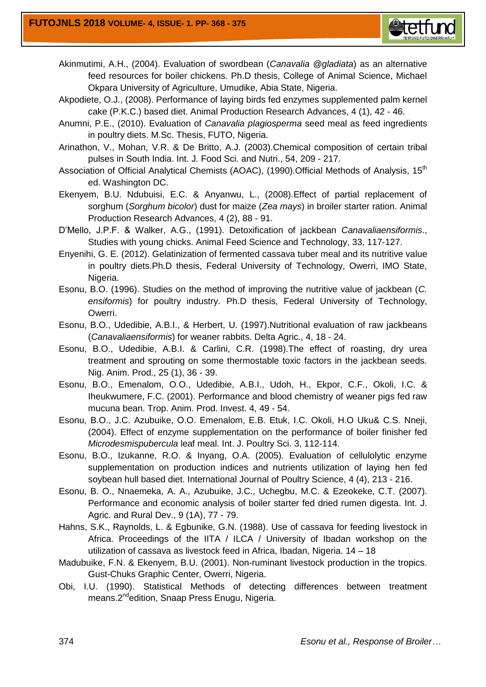

- Akinmutimi, A.H., (2004). Evaluation of swordbean (*Canavalia @gladiata*) as an alternative feed resources for boiler chickens. Ph.D thesis, College of Animal Science, Michael Okpara University of Agriculture, Umudike, Abia State, Nigeria.
- Akpodiete, O.J., (2008). Performance of laying birds fed enzymes supplemented palm kernel cake (P.K.C.) based diet. Animal Production Research Advances, 4 (1), 42 - 46.
- Anumni, P.E., (2010). Evaluation of *Canavalia plagiosperma* seed meal as feed ingredients in poultry diets. M.Sc. Thesis, FUTO, Nigeria.
- Arinathon, V., Mohan, V.R. & De Britto, A.J. (2003).Chemical composition of certain tribal pulses in South India. Int. J. Food Sci. and Nutri., 54, 209 - 217.
- Association of Official Analytical Chemists (AOAC), (1990). Official Methods of Analysis, 15<sup>th</sup> ed. Washington DC.
- Ekenyem, B.U. Ndubuisi, E.C. & Anyanwu, L., (2008).Effect of partial replacement of sorghum (*Sorghum bicolor*) dust for maize (*Zea mays*) in broiler starter ration. Animal Production Research Advances, 4 (2), 88 - 91.
- D'Mello, J.P.F. & Walker, A.G., (1991). Detoxification of jackbean *Canavaliaensiformis*., Studies with young chicks. Animal Feed Science and Technology, 33, 117-127.
- Enyenihi, G. E. (2012). Gelatinization of fermented cassava tuber meal and its nutritive value in poultry diets.Ph.D thesis, Federal University of Technology, Owerri, IMO State, Nigeria.
- Esonu, B.O. (1996). Studies on the method of improving the nutritive value of jackbean (*C. ensiformis*) for poultry industry. Ph.D thesis, Federal University of Technology, Owerri.
- Esonu, B.O., Udedibie, A.B.I., & Herbert, U. (1997).Nutritional evaluation of raw jackbeans (*Canavaliaensiformis*) for weaner rabbits. Delta Agric., 4, 18 - 24.
- Esonu, B.O., Udedibie, A.B.I. & Carlini, C.R. (1998).The effect of roasting, dry urea treatment and sprouting on some thermostable toxic factors in the jackbean seeds. Nig. Anim. Prod., 25 (1), 36 - 39.
- Esonu, B.O., Emenalom, O.O., Udedibie, A.B.I., Udoh, H., Ekpor, C.F., Okoli, I.C. & Iheukwumere, F.C. (2001). Performance and blood chemistry of weaner pigs fed raw mucuna bean. Trop. Anim. Prod. Invest. 4, 49 - 54.
- Esonu, B.O., J.C. Azubuike, O.O. Emenalom, E.B. Etuk, I.C. Okoli, H.O Uku& C.S. Nneji, (2004). Effect of enzyme supplementation on the performance of boiler finisher fed *Microdesmispubercula* leaf meal. Int. J. Poultry Sci. 3, 112-114.
- Esonu, B.O., Izukanne, R.O. & Inyang, O.A. (2005). Evaluation of cellulolytic enzyme supplementation on production indices and nutrients utilization of laying hen fed soybean hull based diet. International Journal of Poultry Science, 4 (4), 213 - 216.
- Esonu, B. O., Nnaemeka, A. A., Azubuike, J.C., Uchegbu, M.C. & Ezeokeke, C.T. (2007). Performance and economic analysis of boiler starter fed dried rumen digesta. Int. J. Agric. and Rural Dev., 9 (1A), 77 - 79.
- Hahns, S.K., Raynolds, L. & Egbunike, G.N. (1988). Use of cassava for feeding livestock in Africa. Proceedings of the IITA / ILCA / University of Ibadan workshop on the utilization of cassava as livestock feed in Africa, Ibadan, Nigeria. 14 – 18
- Madubuike, F.N. & Ekenyem, B.U. (2001). Non-ruminant livestock production in the tropics. Gust-Chuks Graphic Center, Owerri, Nigeria.
- Obi, I.U. (1990). Statistical Methods of detecting differences between treatment means.2<sup>nd</sup>edition, Snaap Press Enugu, Nigeria.